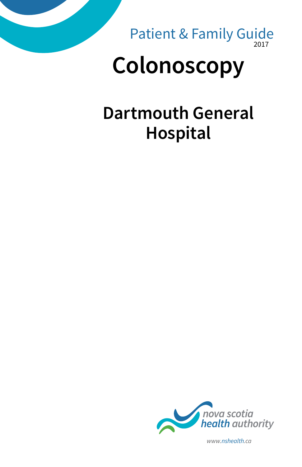

2017 Patient & Family Guide

# **Colonoscopy**

## **Dartmouth General Hospital**



*www.nshealth.ca*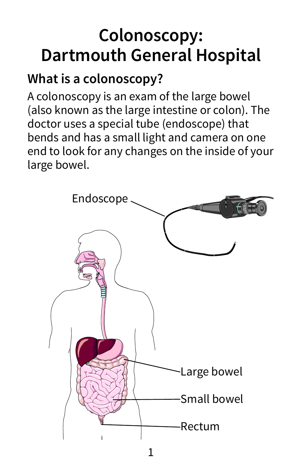## **Colonoscopy: Dartmouth General Hospital**

### **What is a colonoscopy?**

A colonoscopy is an exam of the large bowel (also known as the large intestine or colon). The doctor uses a special tube (endoscope) that bends and has a small light and camera on one end to look for any changes on the inside of your large bowel.

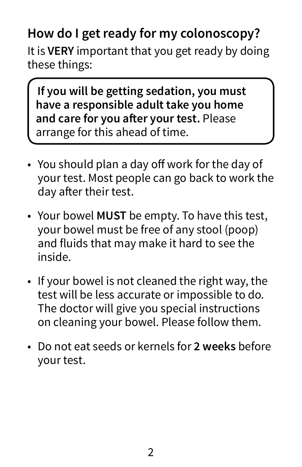## **How do I get ready for my colonoscopy?**

It is **VERY** important that you get ready by doing these things:

**If you will be getting sedation, you must have a responsible adult take you home and care for you after your test.** Please arrange for this ahead of time.

- You should plan a day off work for the day of your test. Most people can go back to work the day after their test.
- Your bowel **MUST** be empty. To have this test, your bowel must be free of any stool (poop) and fluids that may make it hard to see the inside.
- If your bowel is not cleaned the right way, the test will be less accurate or impossible to do. The doctor will give you special instructions on cleaning your bowel. Please follow them.
- Do not eat seeds or kernels for **2 weeks** before your test.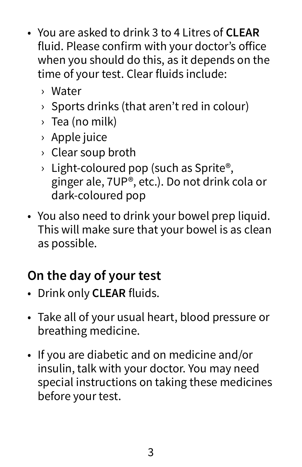- You are asked to drink 3 to 4 Litres of **CLEAR** fluid. Please confirm with your doctor's office when you should do this, as it depends on the time of your test. Clear fluids include:
	- › Water
	- › Sports drinks (that aren't red in colour)
	- › Tea (no milk)
	- › Apple juice
	- › Clear soup broth
	- $\rightarrow$  Light-coloured pop (such as Sprite®, ginger ale, 7UP®, etc.). Do not drink cola or dark-coloured pop
- You also need to drink your bowel prep liquid. This will make sure that your bowel is as clean as possible.

### **On the day of your test**

- Drink only **CLEAR** fluids.
- Take all of your usual heart, blood pressure or breathing medicine.
- If you are diabetic and on medicine and/or insulin, talk with your doctor. You may need special instructions on taking these medicines before your test.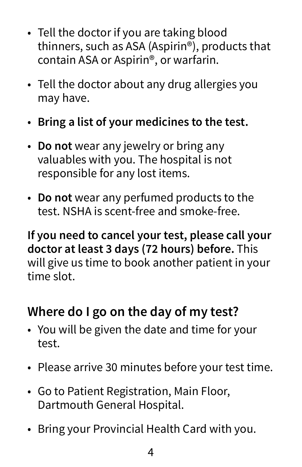- Tell the doctor if you are taking blood thinners, such as ASA (Aspirin®), products that contain ASA or Aspirin®, or warfarin.
- Tell the doctor about any drug allergies you may have.
- **Bring a list of your medicines to the test.**
- **Do not** wear any jewelry or bring any valuables with you. The hospital is not responsible for any lost items.
- **Do not** wear any perfumed products to the test. NSHA is scent-free and smoke-free.

**If you need to cancel your test, please call your doctor at least 3 days (72 hours) before.** This will give us time to book another patient in your time slot.

#### **Where do I go on the day of my test?**

- You will be given the date and time for your test.
- Please arrive 30 minutes before your test time.
- Go to Patient Registration, Main Floor, Dartmouth General Hospital.
- Bring your Provincial Health Card with you.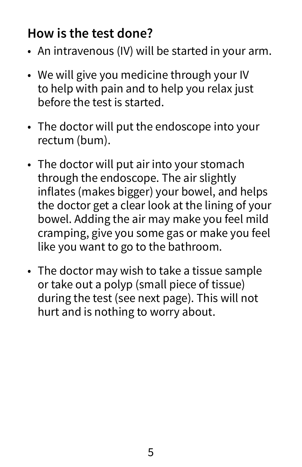#### **How is the test done?**

- An intravenous (IV) will be started in your arm.
- We will give you medicine through your IV to help with pain and to help you relax just before the test is started.
- The doctor will put the endoscope into your rectum (bum).
- The doctor will put air into your stomach through the endoscope. The air slightly inflates (makes bigger) your bowel, and helps the doctor get a clear look at the lining of your bowel. Adding the air may make you feel mild cramping, give you some gas or make you feel like you want to go to the bathroom.
- The doctor may wish to take a tissue sample or take out a polyp (small piece of tissue) during the test (see next page). This will not hurt and is nothing to worry about.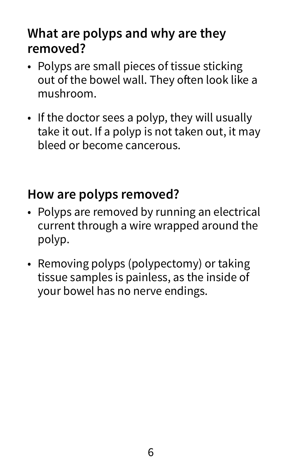#### **What are polyps and why are they removed?**

- Polyps are small pieces of tissue sticking out of the bowel wall. They often look like a mushroom.
- If the doctor sees a polyp, they will usually take it out. If a polyp is not taken out, it may bleed or become cancerous.

#### **How are polyps removed?**

- Polyps are removed by running an electrical current through a wire wrapped around the polyp.
- Removing polyps (polypectomy) or taking tissue samples is painless, as the inside of your bowel has no nerve endings.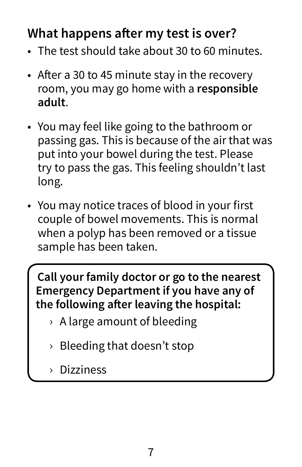#### **What happens after my test is over?**

- The test should take about 30 to 60 minutes.
- After a 30 to 45 minute stay in the recovery room, you may go home with a **responsible adult**.
- You may feel like going to the bathroom or passing gas. This is because of the air that was put into your bowel during the test. Please try to pass the gas. This feeling shouldn't last long.
- You may notice traces of blood in your first couple of bowel movements. This is normal when a polyp has been removed or a tissue sample has been taken.

**Call your family doctor or go to the nearest Emergency Department if you have any of the following after leaving the hospital:** 

- › A large amount of bleeding
- › Bleeding that doesn't stop
- › Dizziness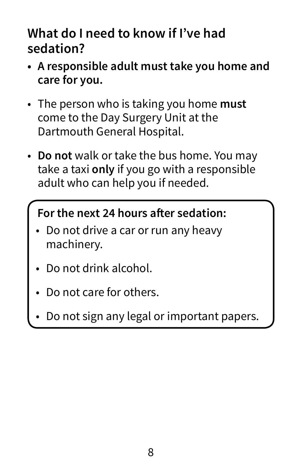#### **What do I need to know if I've had sedation?**

- **• A responsible adult must take you home and care for you.**
- The person who is taking you home **must** come to the Day Surgery Unit at the Dartmouth General Hospital.
- **Do not** walk or take the bus home. You may take a taxi **only** if you go with a responsible adult who can help you if needed.

#### **For the next 24 hours after sedation:**

- Do not drive a car or run any heavy machinery.
- Do not drink alcohol.
- Do not care for others.
- Do not sign any legal or important papers.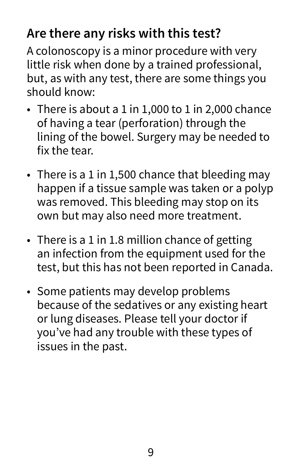### **Are there any risks with this test?**

A colonoscopy is a minor procedure with very little risk when done by a trained professional, but, as with any test, there are some things you should know:

- There is about a 1 in 1,000 to 1 in 2,000 chance of having a tear (perforation) through the lining of the bowel. Surgery may be needed to fix the tear.
- There is a 1 in 1,500 chance that bleeding may happen if a tissue sample was taken or a polyp was removed. This bleeding may stop on its own but may also need more treatment.
- There is a 1 in 1.8 million chance of getting an infection from the equipment used for the test, but this has not been reported in Canada.
- Some patients may develop problems because of the sedatives or any existing heart or lung diseases. Please tell your doctor if you've had any trouble with these types of issues in the past.